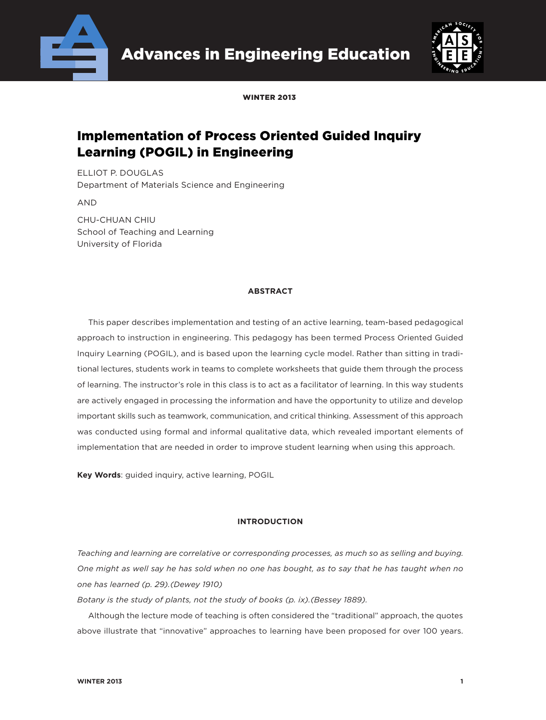



WINTED 2013

# Implementation of Process Oriented Guided Inquiry Learning (POGIL) in Engineering

ELLIOT P. DOUGLAS Department of Materials Science and Engineering

AND

CHU-CHUAN CHIU School of Teaching and Learning University of Florida

### **ABSTRACT**

This paper describes implementation and testing of an active learning, team-based pedagogical approach to instruction in engineering. This pedagogy has been termed Process Oriented Guided Inquiry Learning (POGIL), and is based upon the learning cycle model. Rather than sitting in traditional lectures, students work in teams to complete worksheets that guide them through the process of learning. The instructor's role in this class is to act as a facilitator of learning. In this way students are actively engaged in processing the information and have the opportunity to utilize and develop important skills such as teamwork, communication, and critical thinking. Assessment of this approach was conducted using formal and informal qualitative data, which revealed important elements of implementation that are needed in order to improve student learning when using this approach.

**Key Words**: guided inquiry, active learning, POGIL

#### **INTRODUCTION**

*Teaching and learning are correlative or corresponding processes, as much so as selling and buying. One might as well say he has sold when no one has bought, as to say that he has taught when no one has learned (p. 29).(Dewey 1910)*

*Botany is the study of plants, not the study of books (p. ix).(Bessey 1889).*

Although the lecture mode of teaching is often considered the "traditional" approach, the quotes above illustrate that "innovative" approaches to learning have been proposed for over 100 years.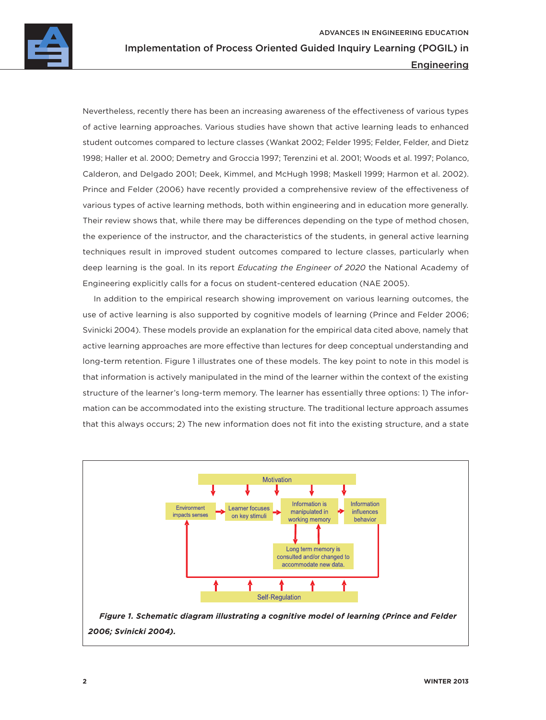

Nevertheless, recently there has been an increasing awareness of the effectiveness of various types of active learning approaches. Various studies have shown that active learning leads to enhanced student outcomes compared to lecture classes (Wankat 2002; Felder 1995; Felder, Felder, and Dietz 1998; Haller et al. 2000; Demetry and Groccia 1997; Terenzini et al. 2001; Woods et al. 1997; Polanco, Calderon, and Delgado 2001; Deek, Kimmel, and McHugh 1998; Maskell 1999; Harmon et al. 2002). Prince and Felder (2006) have recently provided a comprehensive review of the effectiveness of various types of active learning methods, both within engineering and in education more generally. Their review shows that, while there may be differences depending on the type of method chosen, the experience of the instructor, and the characteristics of the students, in general active learning techniques result in improved student outcomes compared to lecture classes, particularly when deep learning is the goal. In its report *Educating the Engineer of 2020* the National Academy of Engineering explicitly calls for a focus on student-centered education (NAE 2005).

In addition to the empirical research showing improvement on various learning outcomes, the use of active learning is also supported by cognitive models of learning (Prince and Felder 2006; Svinicki 2004). These models provide an explanation for the empirical data cited above, namely that active learning approaches are more effective than lectures for deep conceptual understanding and long-term retention. Figure 1 illustrates one of these models. The key point to note in this model is that information is actively manipulated in the mind of the learner within the context of the existing structure of the learner's long-term memory. The learner has essentially three options: 1) The information can be accommodated into the existing structure. The traditional lecture approach assumes that this always occurs; 2) The new information does not fit into the existing structure, and a state

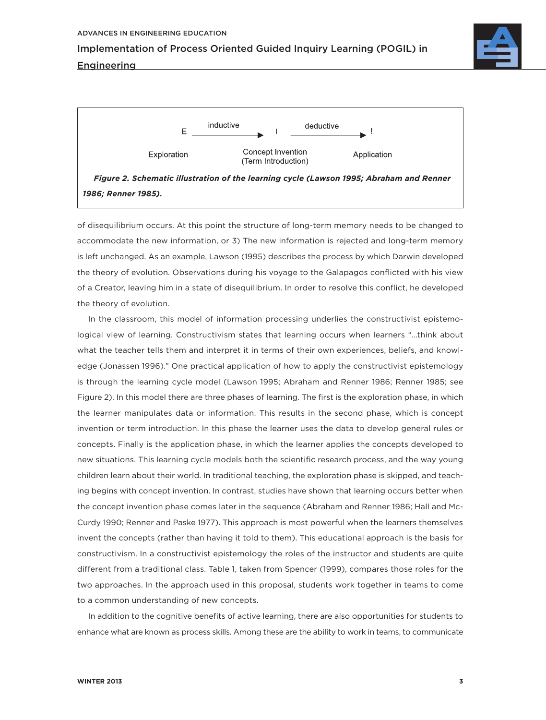**Engineering** 

Implementation of Process Oriented Guided Inquiry Learning (POGIL) in







of disequilibrium occurs. At this point the structure of long-term memory needs to be changed to accommodate the new information, or 3) The new information is rejected and long-term memory is left unchanged. As an example, Lawson (1995) describes the process by which Darwin developed the theory of evolution. Observations during his voyage to the Galapagos conflicted with his view of a Creator, leaving him in a state of disequilibrium. In order to resolve this conflict, he developed the theory of evolution.

In the classroom, this model of information processing underlies the constructivist epistemological view of learning. Constructivism states that learning occurs when learners "…think about what the teacher tells them and interpret it in terms of their own experiences, beliefs, and knowledge (Jonassen 1996)." One practical application of how to apply the constructivist epistemology is through the learning cycle model (Lawson 1995; Abraham and Renner 1986; Renner 1985; see Figure 2). In this model there are three phases of learning. The first is the exploration phase, in which the learner manipulates data or information. This results in the second phase, which is concept invention or term introduction. In this phase the learner uses the data to develop general rules or concepts. Finally is the application phase, in which the learner applies the concepts developed to new situations. This learning cycle models both the scientific research process, and the way young children learn about their world. In traditional teaching, the exploration phase is skipped, and teaching begins with concept invention. In contrast, studies have shown that learning occurs better when the concept invention phase comes later in the sequence (Abraham and Renner 1986; Hall and Mc-Curdy 1990; Renner and Paske 1977). This approach is most powerful when the learners themselves invent the concepts (rather than having it told to them). This educational approach is the basis for constructivism. In a constructivist epistemology the roles of the instructor and students are quite different from a traditional class. Table 1, taken from Spencer (1999), compares those roles for the two approaches. In the approach used in this proposal, students work together in teams to come to a common understanding of new concepts.

In addition to the cognitive benefits of active learning, there are also opportunities for students to enhance what are known as process skills. Among these are the ability to work in teams, to communicate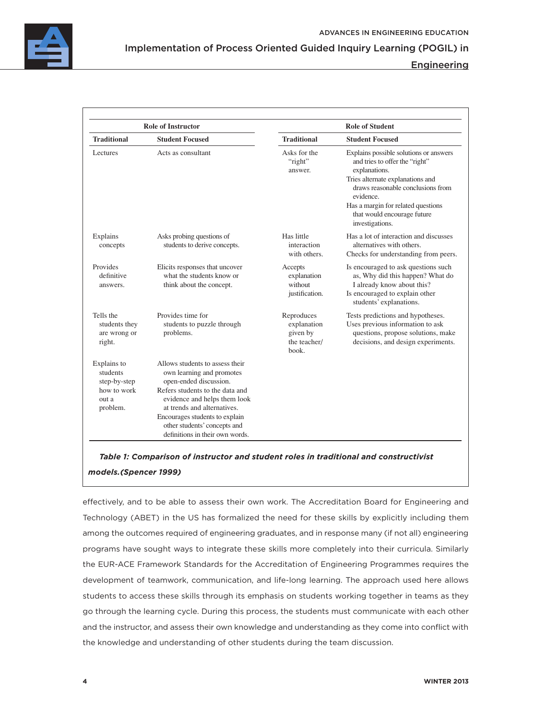

### Engineering

| <b>Role of Instructor</b>                                                   |                                                                                                                                                                                                                                                                                               | <b>Role of Student</b>                                         |                                                                                                                                                                                                                                                                         |
|-----------------------------------------------------------------------------|-----------------------------------------------------------------------------------------------------------------------------------------------------------------------------------------------------------------------------------------------------------------------------------------------|----------------------------------------------------------------|-------------------------------------------------------------------------------------------------------------------------------------------------------------------------------------------------------------------------------------------------------------------------|
| <b>Traditional</b>                                                          | <b>Student Focused</b>                                                                                                                                                                                                                                                                        | <b>Traditional</b>                                             | <b>Student Focused</b>                                                                                                                                                                                                                                                  |
| <b>Lectures</b>                                                             | Acts as consultant                                                                                                                                                                                                                                                                            | Asks for the<br>"right"<br>answer.                             | Explains possible solutions or answers<br>and tries to offer the "right"<br>explanations.<br>Tries alternate explanations and<br>draws reasonable conclusions from<br>evidence.<br>Has a margin for related questions<br>that would encourage future<br>investigations. |
| Explains<br>concepts                                                        | Asks probing questions of<br>students to derive concepts.                                                                                                                                                                                                                                     | Has little<br>interaction<br>with others.                      | Has a lot of interaction and discusses<br>alternatives with others.<br>Checks for understanding from peers.                                                                                                                                                             |
| Provides<br>definitive<br>answers.                                          | Elicits responses that uncover<br>what the students know or<br>think about the concept.                                                                                                                                                                                                       | Accepts<br>explanation<br>without<br>justification.            | Is encouraged to ask questions such<br>as, Why did this happen? What do<br>I already know about this?<br>Is encouraged to explain other<br>students' explanations.                                                                                                      |
| Tells the<br>students they<br>are wrong or<br>right.                        | Provides time for<br>students to puzzle through<br>problems.                                                                                                                                                                                                                                  | Reproduces<br>explanation<br>given by<br>the teacher/<br>book. | Tests predictions and hypotheses.<br>Uses previous information to ask<br>questions, propose solutions, make<br>decisions, and design experiments.                                                                                                                       |
| Explains to<br>students<br>step-by-step<br>how to work<br>out a<br>problem. | Allows students to assess their<br>own learning and promotes<br>open-ended discussion.<br>Refers students to the data and<br>evidence and helps them look<br>at trends and alternatives.<br>Encourages students to explain<br>other students' concepts and<br>definitions in their own words. |                                                                |                                                                                                                                                                                                                                                                         |

*Table 1: Comparison of instructor and student roles in traditional and constructivist models.(Spencer 1999)*

effectively, and to be able to assess their own work. The Accreditation Board for Engineering and Technology (ABET) in the US has formalized the need for these skills by explicitly including them among the outcomes required of engineering graduates, and in response many (if not all) engineering programs have sought ways to integrate these skills more completely into their curricula. Similarly the EUR-ACE Framework Standards for the Accreditation of Engineering Programmes requires the development of teamwork, communication, and life-long learning. The approach used here allows students to access these skills through its emphasis on students working together in teams as they go through the learning cycle. During this process, the students must communicate with each other and the instructor, and assess their own knowledge and understanding as they come into conflict with the knowledge and understanding of other students during the team discussion.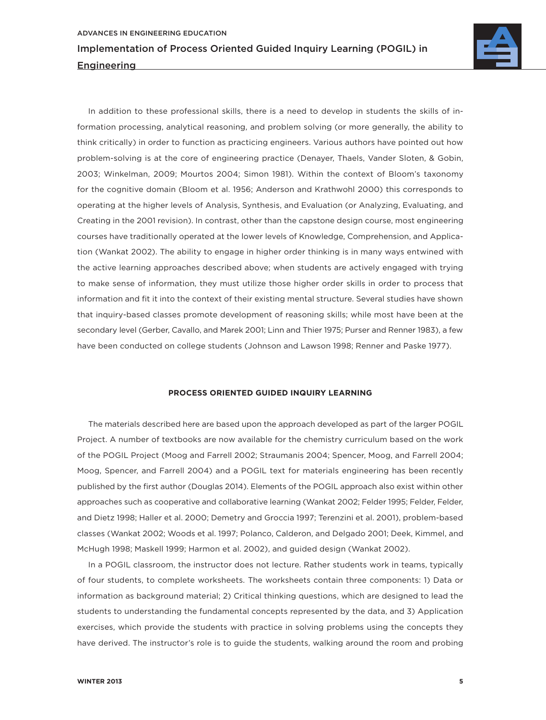

In addition to these professional skills, there is a need to develop in students the skills of information processing, analytical reasoning, and problem solving (or more generally, the ability to think critically) in order to function as practicing engineers. Various authors have pointed out how problem-solving is at the core of engineering practice (Denayer, Thaels, Vander Sloten, & Gobin, 2003; Winkelman, 2009; Mourtos 2004; Simon 1981). Within the context of Bloom's taxonomy for the cognitive domain (Bloom et al. 1956; Anderson and Krathwohl 2000) this corresponds to operating at the higher levels of Analysis, Synthesis, and Evaluation (or Analyzing, Evaluating, and Creating in the 2001 revision). In contrast, other than the capstone design course, most engineering courses have traditionally operated at the lower levels of Knowledge, Comprehension, and Application (Wankat 2002). The ability to engage in higher order thinking is in many ways entwined with the active learning approaches described above; when students are actively engaged with trying to make sense of information, they must utilize those higher order skills in order to process that information and fit it into the context of their existing mental structure. Several studies have shown that inquiry-based classes promote development of reasoning skills; while most have been at the secondary level (Gerber, Cavallo, and Marek 2001; Linn and Thier 1975; Purser and Renner 1983), a few have been conducted on college students (Johnson and Lawson 1998; Renner and Paske 1977).

#### **PROCESS ORIENTED GUIDED INQUIRY LEARNING**

The materials described here are based upon the approach developed as part of the larger POGIL Project. A number of textbooks are now available for the chemistry curriculum based on the work of the POGIL Project (Moog and Farrell 2002; Straumanis 2004; Spencer, Moog, and Farrell 2004; Moog, Spencer, and Farrell 2004) and a POGIL text for materials engineering has been recently published by the first author (Douglas 2014). Elements of the POGIL approach also exist within other approaches such as cooperative and collaborative learning (Wankat 2002; Felder 1995; Felder, Felder, and Dietz 1998; Haller et al. 2000; Demetry and Groccia 1997; Terenzini et al. 2001), problem-based classes (Wankat 2002; Woods et al. 1997; Polanco, Calderon, and Delgado 2001; Deek, Kimmel, and McHugh 1998; Maskell 1999; Harmon et al. 2002), and guided design (Wankat 2002).

In a POGIL classroom, the instructor does not lecture. Rather students work in teams, typically of four students, to complete worksheets. The worksheets contain three components: 1) Data or information as background material; 2) Critical thinking questions, which are designed to lead the students to understanding the fundamental concepts represented by the data, and 3) Application exercises, which provide the students with practice in solving problems using the concepts they have derived. The instructor's role is to guide the students, walking around the room and probing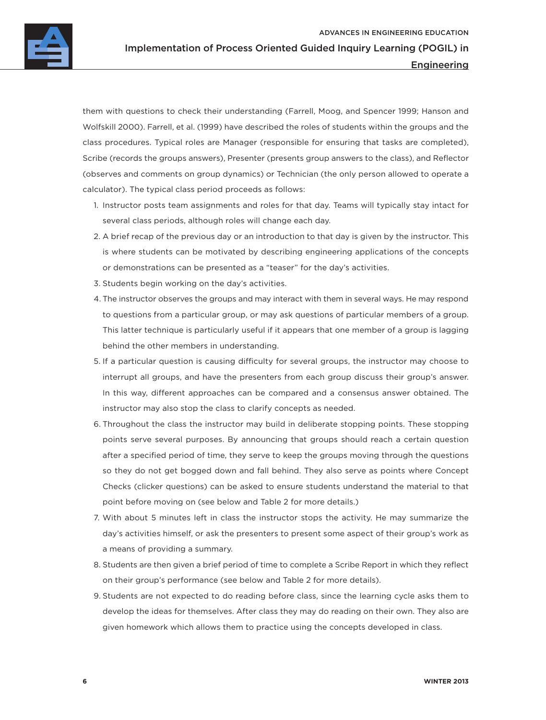

#### Engineering

them with questions to check their understanding (Farrell, Moog, and Spencer 1999; Hanson and Wolfskill 2000). Farrell, et al. (1999) have described the roles of students within the groups and the class procedures. Typical roles are Manager (responsible for ensuring that tasks are completed), Scribe (records the groups answers), Presenter (presents group answers to the class), and Reflector (observes and comments on group dynamics) or Technician (the only person allowed to operate a calculator). The typical class period proceeds as follows:

- 1. Instructor posts team assignments and roles for that day. Teams will typically stay intact for several class periods, although roles will change each day.
- 2. A brief recap of the previous day or an introduction to that day is given by the instructor. This is where students can be motivated by describing engineering applications of the concepts or demonstrations can be presented as a "teaser" for the day's activities.
- 3. Students begin working on the day's activities.
- 4. The instructor observes the groups and may interact with them in several ways. He may respond to questions from a particular group, or may ask questions of particular members of a group. This latter technique is particularly useful if it appears that one member of a group is lagging behind the other members in understanding.
- 5. If a particular question is causing difficulty for several groups, the instructor may choose to interrupt all groups, and have the presenters from each group discuss their group's answer. In this way, different approaches can be compared and a consensus answer obtained. The instructor may also stop the class to clarify concepts as needed.
- 6. Throughout the class the instructor may build in deliberate stopping points. These stopping points serve several purposes. By announcing that groups should reach a certain question after a specified period of time, they serve to keep the groups moving through the questions so they do not get bogged down and fall behind. They also serve as points where Concept Checks (clicker questions) can be asked to ensure students understand the material to that point before moving on (see below and Table 2 for more details.)
- 7. With about 5 minutes left in class the instructor stops the activity. He may summarize the day's activities himself, or ask the presenters to present some aspect of their group's work as a means of providing a summary.
- 8. Students are then given a brief period of time to complete a Scribe Report in which they reflect on their group's performance (see below and Table 2 for more details).
- 9. Students are not expected to do reading before class, since the learning cycle asks them to develop the ideas for themselves. After class they may do reading on their own. They also are given homework which allows them to practice using the concepts developed in class.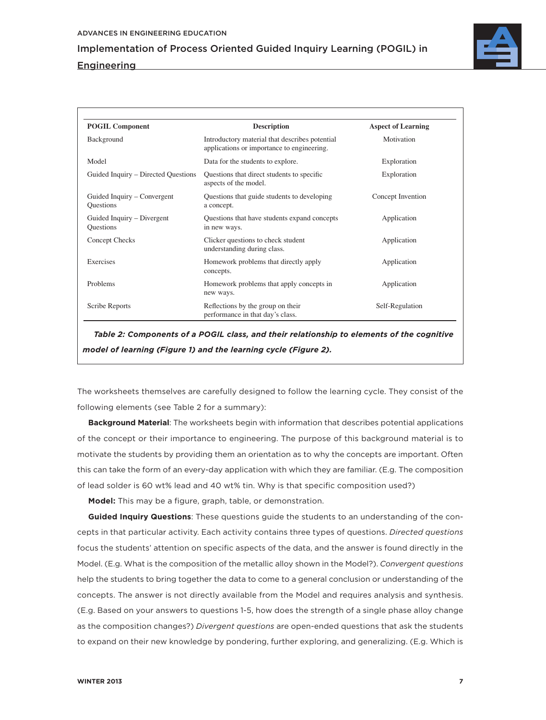**Engineering** 



| <b>POGIL Component</b>                          | <b>Description</b>                                                                           | <b>Aspect of Learning</b> |  |
|-------------------------------------------------|----------------------------------------------------------------------------------------------|---------------------------|--|
| Background                                      | Introductory material that describes potential<br>applications or importance to engineering. | Motivation                |  |
| Model                                           | Data for the students to explore.                                                            | Exploration               |  |
| Guided Inquiry – Directed Questions             | Questions that direct students to specific<br>aspects of the model.                          | Exploration               |  |
| Guided Inquiry – Convergent<br><b>Questions</b> | Questions that guide students to developing<br>a concept.                                    | Concept Invention         |  |
| Guided Inquiry – Divergent<br><b>Questions</b>  | Questions that have students expand concepts<br>in new ways.                                 | Application               |  |
| Concept Checks                                  | Clicker questions to check student<br>understanding during class.                            | Application               |  |
| Exercises                                       | Homework problems that directly apply<br>concepts.                                           | Application               |  |
| Problems                                        | Homework problems that apply concepts in<br>new ways.                                        | Application               |  |
| Scribe Reports                                  | Reflections by the group on their<br>performance in that day's class.                        | Self-Regulation           |  |

*Table 2: Components of a POGIL class, and their relationship to elements of the cognitive model of learning (Figure 1) and the learning cycle (Figure 2).*

The worksheets themselves are carefully designed to follow the learning cycle. They consist of the following elements (see Table 2 for a summary):

**Background Material**: The worksheets begin with information that describes potential applications of the concept or their importance to engineering. The purpose of this background material is to motivate the students by providing them an orientation as to why the concepts are important. Often this can take the form of an every-day application with which they are familiar. (E.g. The composition of lead solder is 60 wt% lead and 40 wt% tin. Why is that specific composition used?)

**Model:** This may be a figure, graph, table, or demonstration.

**Guided Inquiry Questions**: These questions guide the students to an understanding of the concepts in that particular activity. Each activity contains three types of questions. *Directed questions* focus the students' attention on specific aspects of the data, and the answer is found directly in the Model. (E.g. What is the composition of the metallic alloy shown in the Model?). *Convergent questions* help the students to bring together the data to come to a general conclusion or understanding of the concepts. The answer is not directly available from the Model and requires analysis and synthesis. (E.g. Based on your answers to questions 1-5, how does the strength of a single phase alloy change as the composition changes?) *Divergent questions* are open-ended questions that ask the students to expand on their new knowledge by pondering, further exploring, and generalizing. (E.g. Which is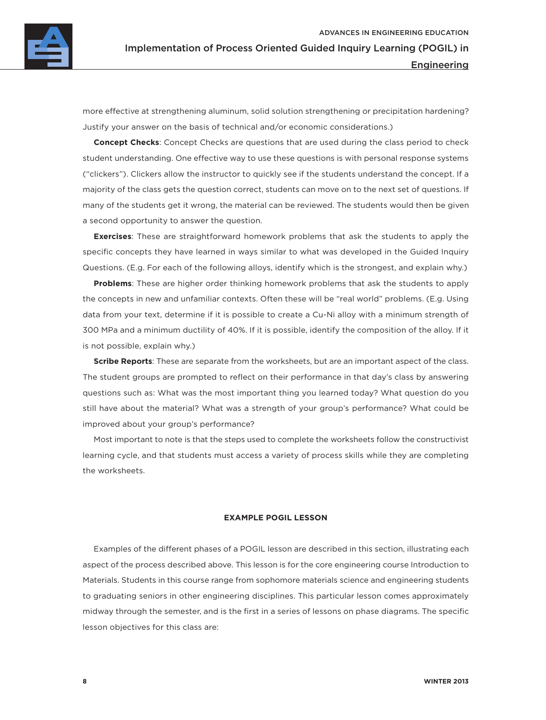

more effective at strengthening aluminum, solid solution strengthening or precipitation hardening? Justify your answer on the basis of technical and/or economic considerations.)

**Concept Checks**: Concept Checks are questions that are used during the class period to check student understanding. One effective way to use these questions is with personal response systems ("clickers"). Clickers allow the instructor to quickly see if the students understand the concept. If a majority of the class gets the question correct, students can move on to the next set of questions. If many of the students get it wrong, the material can be reviewed. The students would then be given a second opportunity to answer the question.

**Exercises**: These are straightforward homework problems that ask the students to apply the specific concepts they have learned in ways similar to what was developed in the Guided Inquiry Questions. (E.g. For each of the following alloys, identify which is the strongest, and explain why.)

**Problems**: These are higher order thinking homework problems that ask the students to apply the concepts in new and unfamiliar contexts. Often these will be "real world" problems. (E.g. Using data from your text, determine if it is possible to create a Cu-Ni alloy with a minimum strength of 300 MPa and a minimum ductility of 40%. If it is possible, identify the composition of the alloy. If it is not possible, explain why.)

**Scribe Reports**: These are separate from the worksheets, but are an important aspect of the class. The student groups are prompted to reflect on their performance in that day's class by answering questions such as: What was the most important thing you learned today? What question do you still have about the material? What was a strength of your group's performance? What could be improved about your group's performance?

Most important to note is that the steps used to complete the worksheets follow the constructivist learning cycle, and that students must access a variety of process skills while they are completing the worksheets.

#### **EXAMPLE POGIL LESSON**

Examples of the different phases of a POGIL lesson are described in this section, illustrating each aspect of the process described above. This lesson is for the core engineering course Introduction to Materials. Students in this course range from sophomore materials science and engineering students to graduating seniors in other engineering disciplines. This particular lesson comes approximately midway through the semester, and is the first in a series of lessons on phase diagrams. The specific lesson objectives for this class are: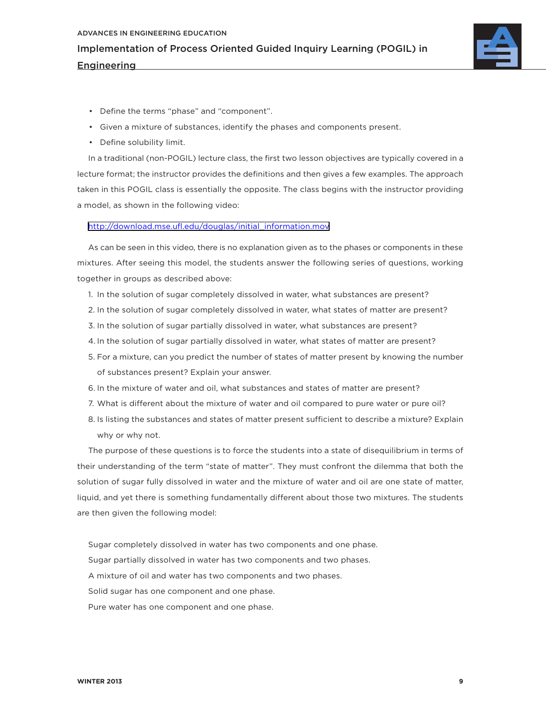

- Define the terms "phase" and "component".
- Given a mixture of substances, identify the phases and components present.
- Define solubility limit.

In a traditional (non-POGIL) lecture class, the first two lesson objectives are typically covered in a lecture format; the instructor provides the definitions and then gives a few examples. The approach taken in this POGIL class is essentially the opposite. The class begins with the instructor providing a model, as shown in the following video:

#### [http://download.mse.ufl.edu/douglas/initial\\_information.mov](http://download.mse.ufl.edu/douglas/initial_information.mov)

As can be seen in this video, there is no explanation given as to the phases or components in these mixtures. After seeing this model, the students answer the following series of questions, working together in groups as described above:

- 1. In the solution of sugar completely dissolved in water, what substances are present?
- 2. In the solution of sugar completely dissolved in water, what states of matter are present?
- 3. In the solution of sugar partially dissolved in water, what substances are present?
- 4. In the solution of sugar partially dissolved in water, what states of matter are present?
- 5. For a mixture, can you predict the number of states of matter present by knowing the number of substances present? Explain your answer.
- 6. In the mixture of water and oil, what substances and states of matter are present?
- 7. What is different about the mixture of water and oil compared to pure water or pure oil?
- 8. Is listing the substances and states of matter present sufficient to describe a mixture? Explain why or why not.

The purpose of these questions is to force the students into a state of disequilibrium in terms of their understanding of the term "state of matter". They must confront the dilemma that both the solution of sugar fully dissolved in water and the mixture of water and oil are one state of matter, liquid, and yet there is something fundamentally different about those two mixtures. The students are then given the following model:

- Sugar completely dissolved in water has two components and one phase. Sugar partially dissolved in water has two components and two phases. A mixture of oil and water has two components and two phases. Solid sugar has one component and one phase.
- Pure water has one component and one phase.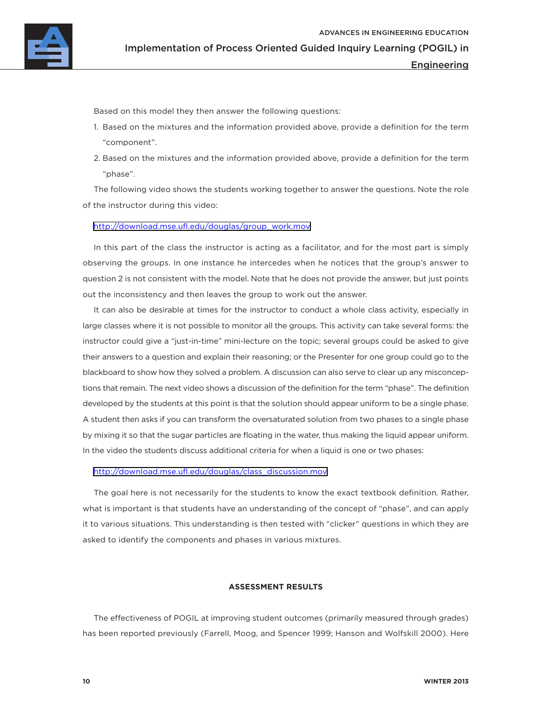Based on this model they then answer the following questions:

- 1. Based on the mixtures and the information provided above, provide a definition for the term "component".
- 2. Based on the mixtures and the information provided above, provide a definition for the term "phase".

The following video shows the students working together to answer the questions. Note the role of the instructor during this video:

#### [http://download.mse.ufl.edu/douglas/group\\_work.mov](http://download.mse.ufl.edu/douglas/group_work.mov)

In this part of the class the instructor is acting as a facilitator, and for the most part is simply observing the groups. In one instance he intercedes when he notices that the group's answer to question 2 is not consistent with the model. Note that he does not provide the answer, but just points out the inconsistency and then leaves the group to work out the answer.

It can also be desirable at times for the instructor to conduct a whole class activity, especially in large classes where it is not possible to monitor all the groups. This activity can take several forms: the instructor could give a "just-in-time" mini-lecture on the topic; several groups could be asked to give their answers to a question and explain their reasoning; or the Presenter for one group could go to the blackboard to show how they solved a problem. A discussion can also serve to clear up any misconceptions that remain. The next video shows a discussion of the definition for the term "phase". The definition developed by the students at this point is that the solution should appear uniform to be a single phase. A student then asks if you can transform the oversaturated solution from two phases to a single phase by mixing it so that the sugar particles are floating in the water, thus making the liquid appear uniform. In the video the students discuss additional criteria for when a liquid is one or two phases:

[http://download.mse.ufl.edu/douglas/class\\_discussion.mov](http://download.mse.ufl.edu/douglas/class_discussion.mov)

The goal here is not necessarily for the students to know the exact textbook definition. Rather, what is important is that students have an understanding of the concept of "phase", and can apply it to various situations. This understanding is then tested with "clicker" questions in which they are asked to identify the components and phases in various mixtures.

#### **ASSESSMENT RESULTS**

The effectiveness of POGIL at improving student outcomes (primarily measured through grades) has been reported previously (Farrell, Moog, and Spencer 1999; Hanson and Wolfskill 2000). Here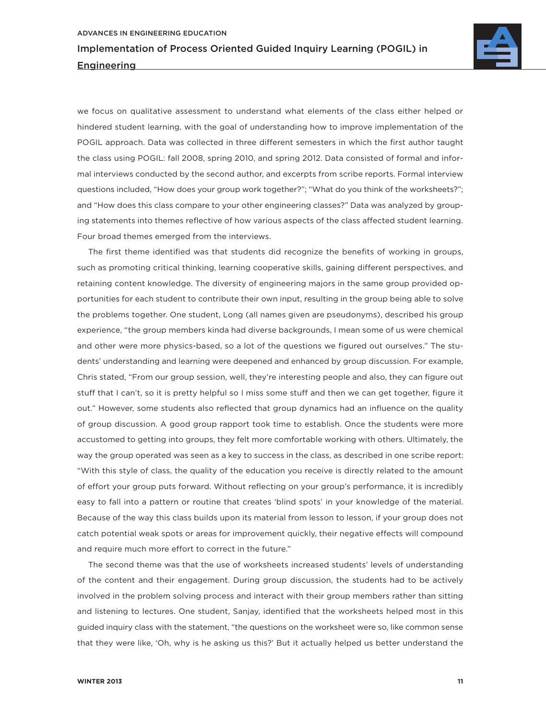

we focus on qualitative assessment to understand what elements of the class either helped or hindered student learning, with the goal of understanding how to improve implementation of the POGIL approach. Data was collected in three different semesters in which the first author taught the class using POGIL: fall 2008, spring 2010, and spring 2012. Data consisted of formal and informal interviews conducted by the second author, and excerpts from scribe reports. Formal interview questions included, "How does your group work together?"; "What do you think of the worksheets?"; and "How does this class compare to your other engineering classes?" Data was analyzed by grouping statements into themes reflective of how various aspects of the class affected student learning. Four broad themes emerged from the interviews.

The first theme identified was that students did recognize the benefits of working in groups, such as promoting critical thinking, learning cooperative skills, gaining different perspectives, and retaining content knowledge. The diversity of engineering majors in the same group provided opportunities for each student to contribute their own input, resulting in the group being able to solve the problems together. One student, Long (all names given are pseudonyms), described his group experience, "the group members kinda had diverse backgrounds, I mean some of us were chemical and other were more physics-based, so a lot of the questions we figured out ourselves." The students' understanding and learning were deepened and enhanced by group discussion. For example, Chris stated, "From our group session, well, they're interesting people and also, they can figure out stuff that I can't, so it is pretty helpful so I miss some stuff and then we can get together, figure it out." However, some students also reflected that group dynamics had an influence on the quality of group discussion. A good group rapport took time to establish. Once the students were more accustomed to getting into groups, they felt more comfortable working with others. Ultimately, the way the group operated was seen as a key to success in the class, as described in one scribe report: "With this style of class, the quality of the education you receive is directly related to the amount of effort your group puts forward. Without reflecting on your group's performance, it is incredibly easy to fall into a pattern or routine that creates 'blind spots' in your knowledge of the material. Because of the way this class builds upon its material from lesson to lesson, if your group does not catch potential weak spots or areas for improvement quickly, their negative effects will compound and require much more effort to correct in the future."

The second theme was that the use of worksheets increased students' levels of understanding of the content and their engagement. During group discussion, the students had to be actively involved in the problem solving process and interact with their group members rather than sitting and listening to lectures. One student, Sanjay, identified that the worksheets helped most in this guided inquiry class with the statement, "the questions on the worksheet were so, like common sense that they were like, 'Oh, why is he asking us this?' But it actually helped us better understand the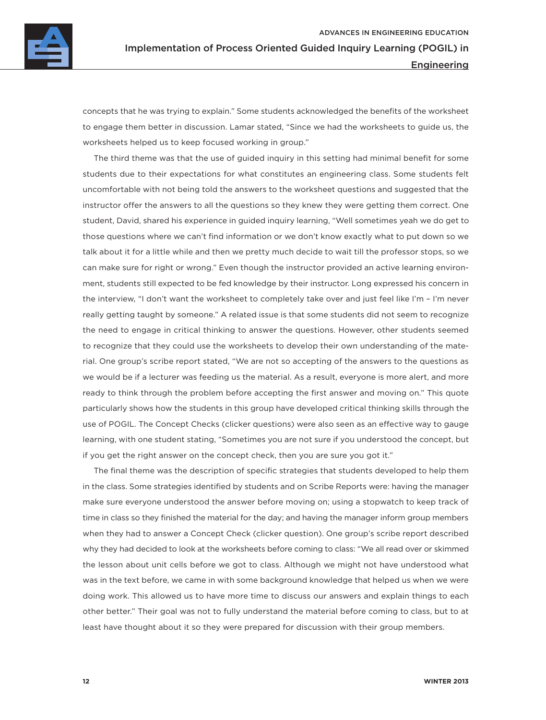

concepts that he was trying to explain." Some students acknowledged the benefits of the worksheet to engage them better in discussion. Lamar stated, "Since we had the worksheets to guide us, the worksheets helped us to keep focused working in group."

The third theme was that the use of guided inquiry in this setting had minimal benefit for some students due to their expectations for what constitutes an engineering class. Some students felt uncomfortable with not being told the answers to the worksheet questions and suggested that the instructor offer the answers to all the questions so they knew they were getting them correct. One student, David, shared his experience in guided inquiry learning, "Well sometimes yeah we do get to those questions where we can't find information or we don't know exactly what to put down so we talk about it for a little while and then we pretty much decide to wait till the professor stops, so we can make sure for right or wrong." Even though the instructor provided an active learning environment, students still expected to be fed knowledge by their instructor. Long expressed his concern in the interview, "I don't want the worksheet to completely take over and just feel like I'm – I'm never really getting taught by someone." A related issue is that some students did not seem to recognize the need to engage in critical thinking to answer the questions. However, other students seemed to recognize that they could use the worksheets to develop their own understanding of the material. One group's scribe report stated, "We are not so accepting of the answers to the questions as we would be if a lecturer was feeding us the material. As a result, everyone is more alert, and more ready to think through the problem before accepting the first answer and moving on." This quote particularly shows how the students in this group have developed critical thinking skills through the use of POGIL. The Concept Checks (clicker questions) were also seen as an effective way to gauge learning, with one student stating, "Sometimes you are not sure if you understood the concept, but if you get the right answer on the concept check, then you are sure you got it."

The final theme was the description of specific strategies that students developed to help them in the class. Some strategies identified by students and on Scribe Reports were: having the manager make sure everyone understood the answer before moving on; using a stopwatch to keep track of time in class so they finished the material for the day; and having the manager inform group members when they had to answer a Concept Check (clicker question). One group's scribe report described why they had decided to look at the worksheets before coming to class: "We all read over or skimmed the lesson about unit cells before we got to class. Although we might not have understood what was in the text before, we came in with some background knowledge that helped us when we were doing work. This allowed us to have more time to discuss our answers and explain things to each other better." Their goal was not to fully understand the material before coming to class, but to at least have thought about it so they were prepared for discussion with their group members.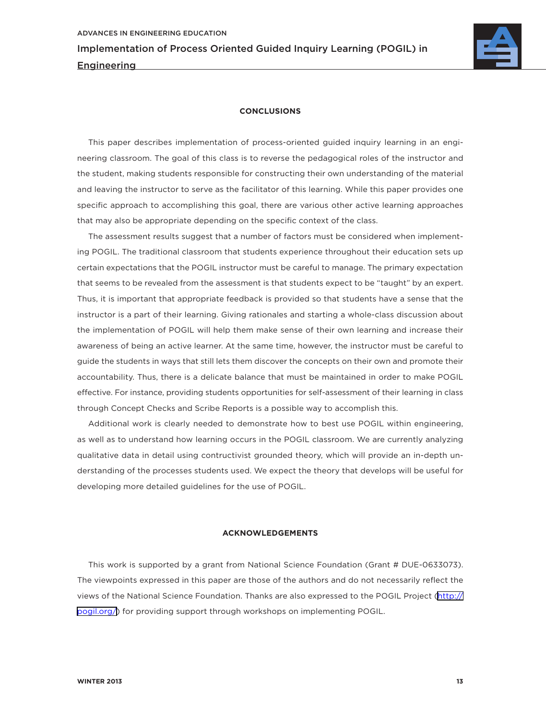

#### **CONCLUSIONS**

This paper describes implementation of process-oriented guided inquiry learning in an engineering classroom. The goal of this class is to reverse the pedagogical roles of the instructor and the student, making students responsible for constructing their own understanding of the material and leaving the instructor to serve as the facilitator of this learning. While this paper provides one specific approach to accomplishing this goal, there are various other active learning approaches that may also be appropriate depending on the specific context of the class.

The assessment results suggest that a number of factors must be considered when implementing POGIL. The traditional classroom that students experience throughout their education sets up certain expectations that the POGIL instructor must be careful to manage. The primary expectation that seems to be revealed from the assessment is that students expect to be "taught" by an expert. Thus, it is important that appropriate feedback is provided so that students have a sense that the instructor is a part of their learning. Giving rationales and starting a whole-class discussion about the implementation of POGIL will help them make sense of their own learning and increase their awareness of being an active learner. At the same time, however, the instructor must be careful to guide the students in ways that still lets them discover the concepts on their own and promote their accountability. Thus, there is a delicate balance that must be maintained in order to make POGIL effective. For instance, providing students opportunities for self-assessment of their learning in class through Concept Checks and Scribe Reports is a possible way to accomplish this.

Additional work is clearly needed to demonstrate how to best use POGIL within engineering, as well as to understand how learning occurs in the POGIL classroom. We are currently analyzing qualitative data in detail using contructivist grounded theory, which will provide an in-depth understanding of the processes students used. We expect the theory that develops will be useful for developing more detailed guidelines for the use of POGIL.

#### **ACKNOWLEDGEMENTS**

This work is supported by a grant from National Science Foundation (Grant # DUE-0633073). The viewpoints expressed in this paper are those of the authors and do not necessarily reflect the views of the National Science Foundation. Thanks are also expressed to the POGIL Project [\(http://](http://pogil.org/) [pogil.org/\)](http://pogil.org/) for providing support through workshops on implementing POGIL.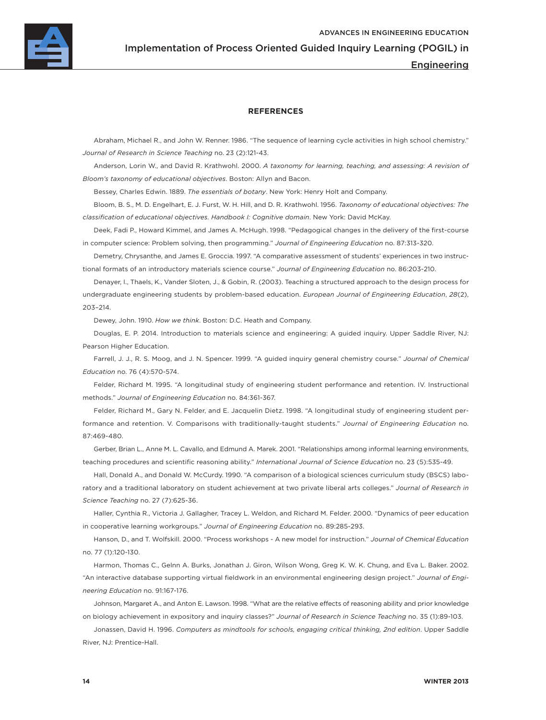

Engineering

#### **REFERENCES**

Abraham, Michael R., and John W. Renner. 1986. "The sequence of learning cycle activities in high school chemistry." *Journal of Research in Science Teaching* no. 23 (2):121-43.

Anderson, Lorin W., and David R. Krathwohl. 2000. *A taxonomy for learning, teaching, and assessing: A revision of Bloom's taxonomy of educational objectives*. Boston: Allyn and Bacon.

Bessey, Charles Edwin. 1889. *The essentials of botany*. New York: Henry Holt and Company.

Bloom, B. S., M. D. Engelhart, E. J. Furst, W. H. Hill, and D. R. Krathwohl. 1956. *Taxonomy of educational objectives: The classification of educational objectives. Handbook I: Cognitive domain*. New York: David McKay.

Deek, Fadi P., Howard Kimmel, and James A. McHugh. 1998. "Pedagogical changes in the delivery of the first-course in computer science: Problem solving, then programming." *Journal of Engineering Education* no. 87:313-320.

Demetry, Chrysanthe, and James E. Groccia. 1997. "A comparative assessment of students' experiences in two instructional formats of an introductory materials science course." *Journal of Engineering Education* no. 86:203-210.

Denayer, I., Thaels, K., Vander Sloten, J., & Gobin, R. (2003). Teaching a structured approach to the design process for undergraduate engineering students by problem-based education. *European Journal of Engineering Education*, *28*(2), 203–214.

Dewey, John. 1910. *How we think*. Boston: D.C. Heath and Company.

Douglas, E. P. 2014. Introduction to materials science and engineering: A guided inquiry. Upper Saddle River, NJ: Pearson Higher Education.

Farrell, J. J., R. S. Moog, and J. N. Spencer. 1999. "A guided inquiry general chemistry course." *Journal of Chemical Education* no. 76 (4):570-574.

Felder, Richard M. 1995. "A longitudinal study of engineering student performance and retention. IV. Instructional methods." *Journal of Engineering Education* no. 84:361-367.

Felder, Richard M., Gary N. Felder, and E. Jacquelin Dietz. 1998. "A longitudinal study of engineering student performance and retention. V. Comparisons with traditionally-taught students." *Journal of Engineering Education* no. 87:469-480.

Gerber, Brian L., Anne M. L. Cavallo, and Edmund A. Marek. 2001. "Relationships among informal learning environments, teaching procedures and scientific reasoning ability." *International Journal of Science Education* no. 23 (5):535-49.

Hall, Donald A., and Donald W. McCurdy. 1990. "A comparison of a biological sciences curriculum study (BSCS) laboratory and a traditional laboratory on student achievement at two private liberal arts colleges." *Journal of Research in Science Teaching* no. 27 (7):625-36.

Haller, Cynthia R., Victoria J. Gallagher, Tracey L. Weldon, and Richard M. Felder. 2000. "Dynamics of peer education in cooperative learning workgroups." *Journal of Engineering Education* no. 89:285-293.

Hanson, D., and T. Wolfskill. 2000. "Process workshops - A new model for instruction." *Journal of Chemical Education* no. 77 (1):120-130.

Harmon, Thomas C., Gelnn A. Burks, Jonathan J. Giron, Wilson Wong, Greg K. W. K. Chung, and Eva L. Baker. 2002. "An interactive database supporting virtual fieldwork in an environmental engineering design project." *Journal of Engineering Education* no. 91:167-176.

Johnson, Margaret A., and Anton E. Lawson. 1998. "What are the relative effects of reasoning ability and prior knowledge on biology achievement in expository and inquiry classes?" *Journal of Research in Science Teaching* no. 35 (1):89-103.

Jonassen, David H. 1996. *Computers as mindtools for schools, engaging critical thinking, 2nd edition*. Upper Saddle River, NJ: Prentice-Hall.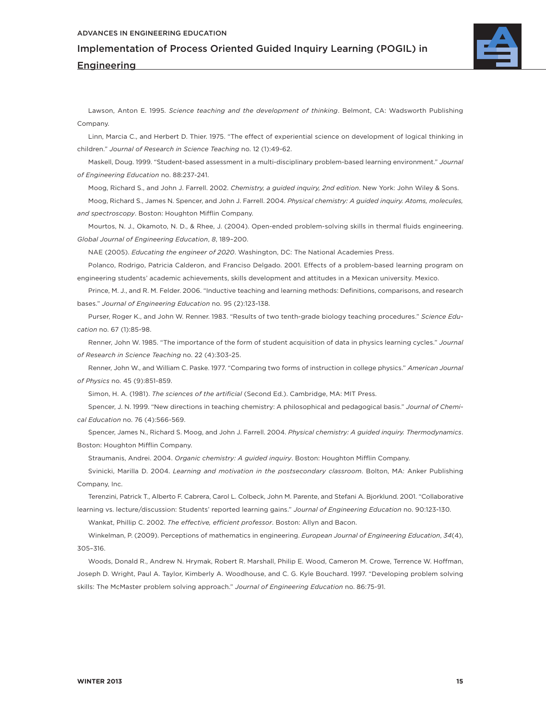#### advances in engineering Education

Implementation of Process Oriented Guided Inquiry Learning (POGIL) in **Engineering** 



Lawson, Anton E. 1995. *Science teaching and the development of thinking*. Belmont, CA: Wadsworth Publishing Company.

Linn, Marcia C., and Herbert D. Thier. 1975. "The effect of experiential science on development of logical thinking in children." *Journal of Research in Science Teaching* no. 12 (1):49-62.

Maskell, Doug. 1999. "Student-based assessment in a multi-disciplinary problem-based learning environment." *Journal of Engineering Education* no. 88:237-241.

Moog, Richard S., and John J. Farrell. 2002. *Chemistry, a guided inquiry, 2nd edition*. New York: John Wiley & Sons.

Moog, Richard S., James N. Spencer, and John J. Farrell. 2004. *Physical chemistry: A guided inquiry. Atoms, molecules, and spectroscopy*. Boston: Houghton Mifflin Company.

Mourtos, N. J., Okamoto, N. D., & Rhee, J. (2004). Open-ended problem-solving skills in thermal fluids engineering. *Global Journal of Engineering Education*, *8*, 189–200.

NAE (2005). *Educating the engineer of 2020*. Washington, DC: The National Academies Press.

Polanco, Rodrigo, Patricia Calderon, and Franciso Delgado. 2001. Effects of a problem-based learning program on engineering students' academic achievements, skills development and attitudes in a Mexican university. Mexico.

Prince, M. J., and R. M. Felder. 2006. "Inductive teaching and learning methods: Definitions, comparisons, and research bases." *Journal of Engineering Education* no. 95 (2):123-138.

Purser, Roger K., and John W. Renner. 1983. "Results of two tenth-grade biology teaching procedures." *Science Education* no. 67 (1):85-98.

Renner, John W. 1985. "The importance of the form of student acquisition of data in physics learning cycles." *Journal of Research in Science Teaching* no. 22 (4):303-25.

Renner, John W., and William C. Paske. 1977. "Comparing two forms of instruction in college physics." *American Journal of Physics* no. 45 (9):851-859.

Simon, H. A. (1981). *The sciences of the artificial* (Second Ed.). Cambridge, MA: MIT Press.

Spencer, J. N. 1999. "New directions in teaching chemistry: A philosophical and pedagogical basis." *Journal of Chemical Education* no. 76 (4):566-569.

Spencer, James N., Richard S. Moog, and John J. Farrell. 2004. *Physical chemistry: A guided inquiry. Thermodynamics*. Boston: Houghton Mifflin Company.

Straumanis, Andrei. 2004. *Organic chemistry: A guided inquiry*. Boston: Houghton Mifflin Company.

Svinicki, Marilla D. 2004. *Learning and motivation in the postsecondary classroom*. Bolton, MA: Anker Publishing Company, Inc.

Terenzini, Patrick T., Alberto F. Cabrera, Carol L. Colbeck, John M. Parente, and Stefani A. Bjorklund. 2001. "Collaborative learning vs. lecture/discussion: Students' reported learning gains." *Journal of Engineering Education* no. 90:123-130.

Wankat, Phillip C. 2002. *The effective, efficient professor*. Boston: Allyn and Bacon.

Winkelman, P. (2009). Perceptions of mathematics in engineering. *European Journal of Engineering Education*, *34*(4), 305–316.

Woods, Donald R., Andrew N. Hrymak, Robert R. Marshall, Philip E. Wood, Cameron M. Crowe, Terrence W. Hoffman, Joseph D. Wright, Paul A. Taylor, Kimberly A. Woodhouse, and C. G. Kyle Bouchard. 1997. "Developing problem solving skills: The McMaster problem solving approach." *Journal of Engineering Education* no. 86:75-91.